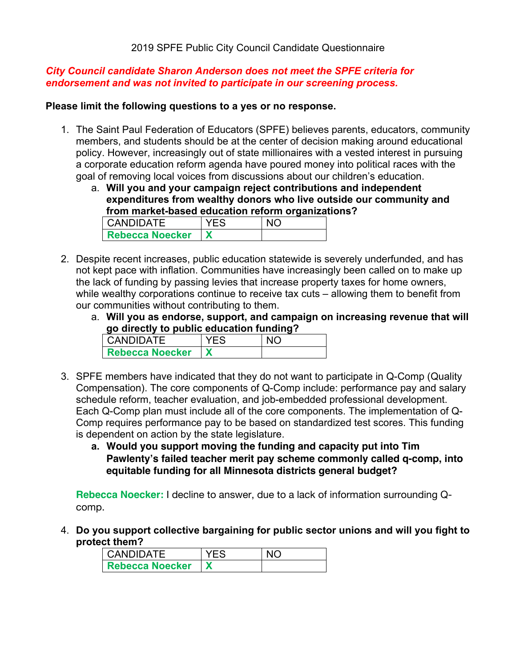## *City Council candidate Sharon Anderson does not meet the SPFE criteria for endorsement and was not invited to participate in our screening process.*

#### **Please limit the following questions to a yes or no response.**

- 1. The Saint Paul Federation of Educators (SPFE) believes parents, educators, community members, and students should be at the center of decision making around educational policy. However, increasingly out of state millionaires with a vested interest in pursuing a corporate education reform agenda have poured money into political races with the goal of removing local voices from discussions about our children's education.
	- a. **Will you and your campaign reject contributions and independent expenditures from wealthy donors who live outside our community and from market-based education reform organizations?**

| <b>CANDIDATE</b>       |  |
|------------------------|--|
| <b>Rebecca Noecker</b> |  |

- 2. Despite recent increases, public education statewide is severely underfunded, and has not kept pace with inflation. Communities have increasingly been called on to make up the lack of funding by passing levies that increase property taxes for home owners, while wealthy corporations continue to receive tax cuts – allowing them to benefit from our communities without contributing to them.
	- a. **Will you as endorse, support, and campaign on increasing revenue that will go directly to public education funding?**

| <b>CANDIDATE</b>       |  |
|------------------------|--|
| <b>Rebecca Noecker</b> |  |

- 3. SPFE members have indicated that they do not want to participate in Q-Comp (Quality Compensation). The core components of Q-Comp include: performance pay and salary schedule reform, teacher evaluation, and job-embedded professional development. Each Q-Comp plan must include all of the core components. The implementation of Q-Comp requires performance pay to be based on standardized test scores. This funding is dependent on action by the state legislature.
	- **a. Would you support moving the funding and capacity put into Tim Pawlenty's failed teacher merit pay scheme commonly called q-comp, into equitable funding for all Minnesota districts general budget?**

**Rebecca Noecker:** I decline to answer, due to a lack of information surrounding Qcomp.

4. **Do you support collective bargaining for public sector unions and will you fight to protect them?**

| I CANDIDATE            | YFS. | $\overline{\mathsf{N}}$ |
|------------------------|------|-------------------------|
| <b>Rebecca Noecker</b> |      |                         |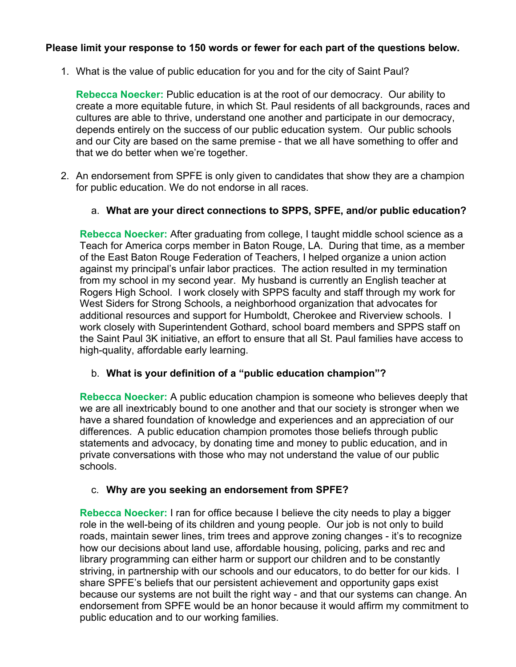# **Please limit your response to 150 words or fewer for each part of the questions below.**

1. What is the value of public education for you and for the city of Saint Paul?

**Rebecca Noecker:** Public education is at the root of our democracy. Our ability to create a more equitable future, in which St. Paul residents of all backgrounds, races and cultures are able to thrive, understand one another and participate in our democracy, depends entirely on the success of our public education system. Our public schools and our City are based on the same premise - that we all have something to offer and that we do better when we're together.

2. An endorsement from SPFE is only given to candidates that show they are a champion for public education. We do not endorse in all races.

## a. **What are your direct connections to SPPS, SPFE, and/or public education?**

**Rebecca Noecker:** After graduating from college, I taught middle school science as a Teach for America corps member in Baton Rouge, LA. During that time, as a member of the East Baton Rouge Federation of Teachers, I helped organize a union action against my principal's unfair labor practices. The action resulted in my termination from my school in my second year. My husband is currently an English teacher at Rogers High School. I work closely with SPPS faculty and staff through my work for West Siders for Strong Schools, a neighborhood organization that advocates for additional resources and support for Humboldt, Cherokee and Riverview schools. I work closely with Superintendent Gothard, school board members and SPPS staff on the Saint Paul 3K initiative, an effort to ensure that all St. Paul families have access to high-quality, affordable early learning.

## b. **What is your definition of a "public education champion"?**

**Rebecca Noecker:** A public education champion is someone who believes deeply that we are all inextricably bound to one another and that our society is stronger when we have a shared foundation of knowledge and experiences and an appreciation of our differences. A public education champion promotes those beliefs through public statements and advocacy, by donating time and money to public education, and in private conversations with those who may not understand the value of our public schools.

## c. **Why are you seeking an endorsement from SPFE?**

**Rebecca Noecker:** I ran for office because I believe the city needs to play a bigger role in the well-being of its children and young people. Our job is not only to build roads, maintain sewer lines, trim trees and approve zoning changes - it's to recognize how our decisions about land use, affordable housing, policing, parks and rec and library programming can either harm or support our children and to be constantly striving, in partnership with our schools and our educators, to do better for our kids. I share SPFE's beliefs that our persistent achievement and opportunity gaps exist because our systems are not built the right way - and that our systems can change. An endorsement from SPFE would be an honor because it would affirm my commitment to public education and to our working families.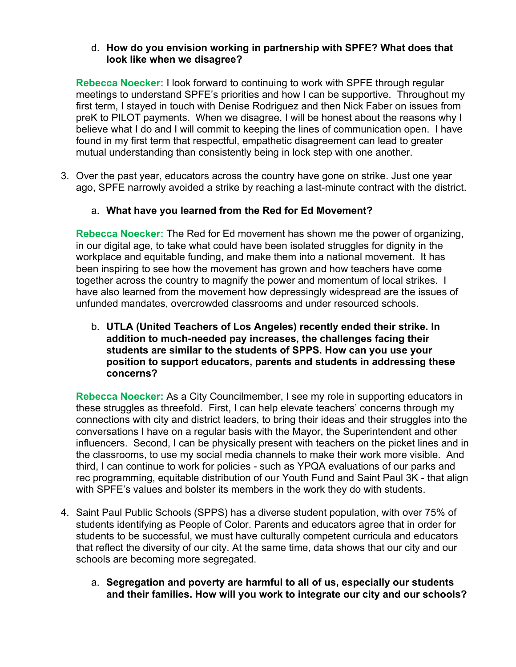## d. **How do you envision working in partnership with SPFE? What does that look like when we disagree?**

**Rebecca Noecker:** I look forward to continuing to work with SPFE through regular meetings to understand SPFE's priorities and how I can be supportive. Throughout my first term, I stayed in touch with Denise Rodriguez and then Nick Faber on issues from preK to PILOT payments. When we disagree, I will be honest about the reasons why I believe what I do and I will commit to keeping the lines of communication open. I have found in my first term that respectful, empathetic disagreement can lead to greater mutual understanding than consistently being in lock step with one another.

3. Over the past year, educators across the country have gone on strike. Just one year ago, SPFE narrowly avoided a strike by reaching a last-minute contract with the district.

# a. **What have you learned from the Red for Ed Movement?**

**Rebecca Noecker:** The Red for Ed movement has shown me the power of organizing, in our digital age, to take what could have been isolated struggles for dignity in the workplace and equitable funding, and make them into a national movement. It has been inspiring to see how the movement has grown and how teachers have come together across the country to magnify the power and momentum of local strikes. I have also learned from the movement how depressingly widespread are the issues of unfunded mandates, overcrowded classrooms and under resourced schools.

b. **UTLA (United Teachers of Los Angeles) recently ended their strike. In addition to much-needed pay increases, the challenges facing their students are similar to the students of SPPS. How can you use your position to support educators, parents and students in addressing these concerns?**

**Rebecca Noecker:** As a City Councilmember, I see my role in supporting educators in these struggles as threefold. First, I can help elevate teachers' concerns through my connections with city and district leaders, to bring their ideas and their struggles into the conversations I have on a regular basis with the Mayor, the Superintendent and other influencers. Second, I can be physically present with teachers on the picket lines and in the classrooms, to use my social media channels to make their work more visible. And third, I can continue to work for policies - such as YPQA evaluations of our parks and rec programming, equitable distribution of our Youth Fund and Saint Paul 3K - that align with SPFE's values and bolster its members in the work they do with students.

- 4. Saint Paul Public Schools (SPPS) has a diverse student population, with over 75% of students identifying as People of Color. Parents and educators agree that in order for students to be successful, we must have culturally competent curricula and educators that reflect the diversity of our city. At the same time, data shows that our city and our schools are becoming more segregated.
	- a. **Segregation and poverty are harmful to all of us, especially our students and their families. How will you work to integrate our city and our schools?**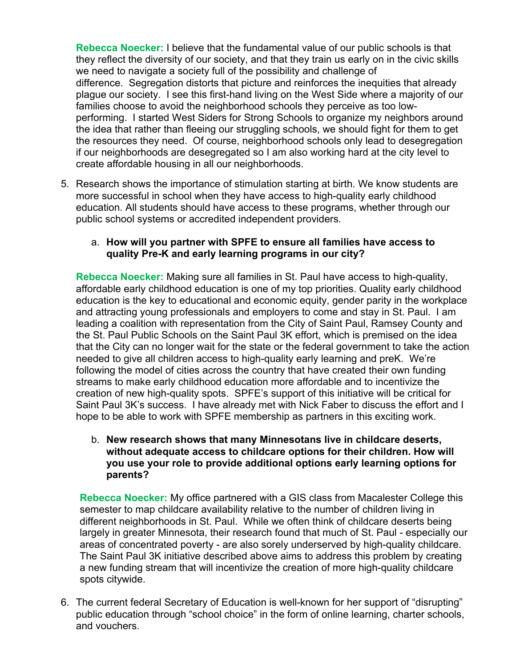**Rebecca Noecker:** I believe that the fundamental value of our public schools is that they reflect the diversity of our society, and that they train us early on in the civic skills we need to navigate a society full of the possibility and challenge of difference. Segregation distorts that picture and reinforces the inequities that already plague our society. I see this first-hand living on the West Side where a majority of our families choose to avoid the neighborhood schools they perceive as too lowperforming. I started West Siders for Strong Schools to organize my neighbors around the idea that rather than fleeing our struggling schools, we should fight for them to get the resources they need. Of course, neighborhood schools only lead to desegregation if our neighborhoods are desegregated so I am also working hard at the city level to create affordable housing in all our neighborhoods.

5. Research shows the importance of stimulation starting at birth. We know students are more successful in school when they have access to high-quality early childhood education. All students should have access to these programs, whether through our public school systems or accredited independent providers.

#### a. **How will you partner with SPFE to ensure all families have access to quality Pre-K and early learning programs in our city?**

**Rebecca Noecker:** Making sure all families in St. Paul have access to high-quality, affordable early childhood education is one of my top priorities. Quality early childhood education is the key to educational and economic equity, gender parity in the workplace and attracting young professionals and employers to come and stay in St. Paul. I am leading a coalition with representation from the City of Saint Paul, Ramsey County and the St. Paul Public Schools on the Saint Paul 3K effort, which is premised on the idea that the City can no longer wait for the state or the federal government to take the action needed to give all children access to high-quality early learning and preK. We're following the model of cities across the country that have created their own funding streams to make early childhood education more affordable and to incentivize the creation of new high-quality spots. SPFE's support of this initiative will be critical for Saint Paul 3K's success. I have already met with Nick Faber to discuss the effort and I hope to be able to work with SPFE membership as partners in this exciting work.

## b. **New research shows that many Minnesotans live in childcare deserts, without adequate access to childcare options for their children. How will you use your role to provide additional options early learning options for parents?**

**Rebecca Noecker:** My office partnered with a GIS class from Macalester College this semester to map childcare availability relative to the number of children living in different neighborhoods in St. Paul. While we often think of childcare deserts being largely in greater Minnesota, their research found that much of St. Paul - especially our areas of concentrated poverty - are also sorely underserved by high-quality childcare. The Saint Paul 3K initiative described above aims to address this problem by creating a new funding stream that will incentivize the creation of more high-quality childcare spots citywide.

6. The current federal Secretary of Education is well-known for her support of "disrupting" public education through "school choice" in the form of online learning, charter schools, and vouchers.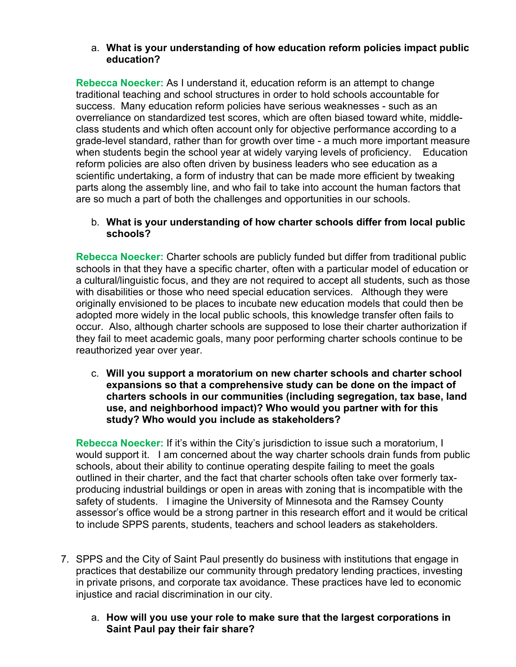## a. **What is your understanding of how education reform policies impact public education?**

**Rebecca Noecker:** As I understand it, education reform is an attempt to change traditional teaching and school structures in order to hold schools accountable for success. Many education reform policies have serious weaknesses - such as an overreliance on standardized test scores, which are often biased toward white, middleclass students and which often account only for objective performance according to a grade-level standard, rather than for growth over time - a much more important measure when students begin the school year at widely varying levels of proficiency. Education reform policies are also often driven by business leaders who see education as a scientific undertaking, a form of industry that can be made more efficient by tweaking parts along the assembly line, and who fail to take into account the human factors that are so much a part of both the challenges and opportunities in our schools.

## b. **What is your understanding of how charter schools differ from local public schools?**

**Rebecca Noecker:** Charter schools are publicly funded but differ from traditional public schools in that they have a specific charter, often with a particular model of education or a cultural/linguistic focus, and they are not required to accept all students, such as those with disabilities or those who need special education services. Although they were originally envisioned to be places to incubate new education models that could then be adopted more widely in the local public schools, this knowledge transfer often fails to occur. Also, although charter schools are supposed to lose their charter authorization if they fail to meet academic goals, many poor performing charter schools continue to be reauthorized year over year.

c. **Will you support a moratorium on new charter schools and charter school expansions so that a comprehensive study can be done on the impact of charters schools in our communities (including segregation, tax base, land use, and neighborhood impact)? Who would you partner with for this study? Who would you include as stakeholders?**

**Rebecca Noecker:** If it's within the City's jurisdiction to issue such a moratorium, I would support it. I am concerned about the way charter schools drain funds from public schools, about their ability to continue operating despite failing to meet the goals outlined in their charter, and the fact that charter schools often take over formerly taxproducing industrial buildings or open in areas with zoning that is incompatible with the safety of students. I imagine the University of Minnesota and the Ramsey County assessor's office would be a strong partner in this research effort and it would be critical to include SPPS parents, students, teachers and school leaders as stakeholders.

- 7. SPPS and the City of Saint Paul presently do business with institutions that engage in practices that destabilize our community through predatory lending practices, investing in private prisons, and corporate tax avoidance. These practices have led to economic injustice and racial discrimination in our city.
	- a. **How will you use your role to make sure that the largest corporations in Saint Paul pay their fair share?**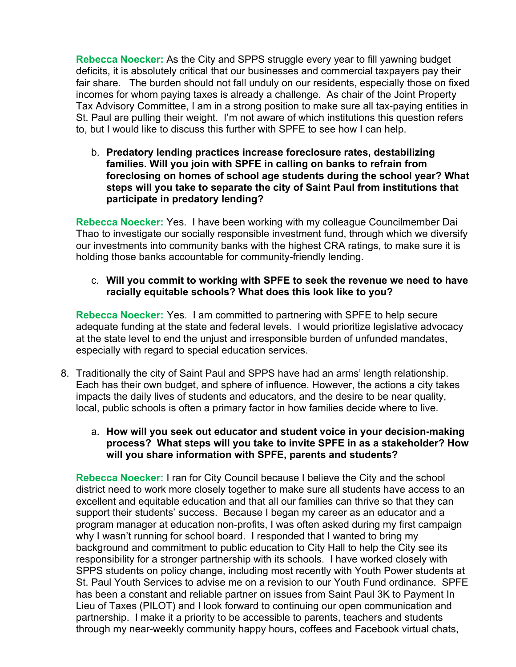**Rebecca Noecker:** As the City and SPPS struggle every year to fill yawning budget deficits, it is absolutely critical that our businesses and commercial taxpayers pay their fair share. The burden should not fall unduly on our residents, especially those on fixed incomes for whom paying taxes is already a challenge. As chair of the Joint Property Tax Advisory Committee, I am in a strong position to make sure all tax-paying entities in St. Paul are pulling their weight. I'm not aware of which institutions this question refers to, but I would like to discuss this further with SPFE to see how I can help.

b. **Predatory lending practices increase foreclosure rates, destabilizing families. Will you join with SPFE in calling on banks to refrain from foreclosing on homes of school age students during the school year? What steps will you take to separate the city of Saint Paul from institutions that participate in predatory lending?**

**Rebecca Noecker:** Yes. I have been working with my colleague Councilmember Dai Thao to investigate our socially responsible investment fund, through which we diversify our investments into community banks with the highest CRA ratings, to make sure it is holding those banks accountable for community-friendly lending.

## c. **Will you commit to working with SPFE to seek the revenue we need to have racially equitable schools? What does this look like to you?**

**Rebecca Noecker:** Yes. I am committed to partnering with SPFE to help secure adequate funding at the state and federal levels. I would prioritize legislative advocacy at the state level to end the unjust and irresponsible burden of unfunded mandates, especially with regard to special education services.

- 8. Traditionally the city of Saint Paul and SPPS have had an arms' length relationship. Each has their own budget, and sphere of influence. However, the actions a city takes impacts the daily lives of students and educators, and the desire to be near quality, local, public schools is often a primary factor in how families decide where to live.
	- a. **How will you seek out educator and student voice in your decision-making process? What steps will you take to invite SPFE in as a stakeholder? How will you share information with SPFE, parents and students?**

**Rebecca Noecker:** I ran for City Council because I believe the City and the school district need to work more closely together to make sure all students have access to an excellent and equitable education and that all our families can thrive so that they can support their students' success. Because I began my career as an educator and a program manager at education non-profits, I was often asked during my first campaign why I wasn't running for school board. I responded that I wanted to bring my background and commitment to public education to City Hall to help the City see its responsibility for a stronger partnership with its schools. I have worked closely with SPPS students on policy change, including most recently with Youth Power students at St. Paul Youth Services to advise me on a revision to our Youth Fund ordinance. SPFE has been a constant and reliable partner on issues from Saint Paul 3K to Payment In Lieu of Taxes (PILOT) and I look forward to continuing our open communication and partnership. I make it a priority to be accessible to parents, teachers and students through my near-weekly community happy hours, coffees and Facebook virtual chats,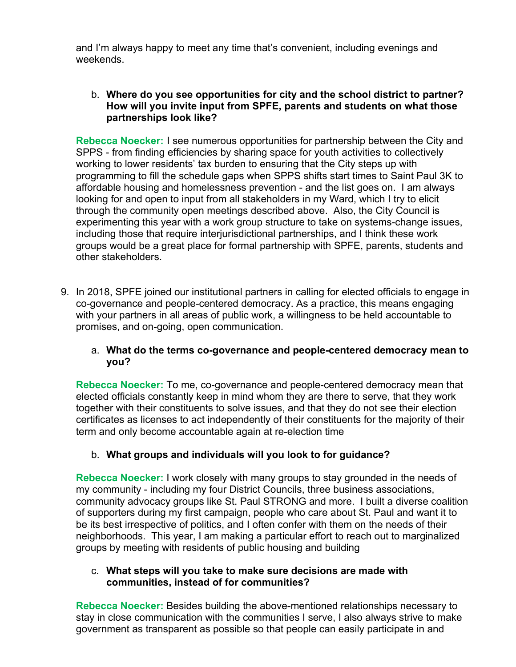and I'm always happy to meet any time that's convenient, including evenings and weekends.

## b. **Where do you see opportunities for city and the school district to partner? How will you invite input from SPFE, parents and students on what those partnerships look like?**

**Rebecca Noecker:** I see numerous opportunities for partnership between the City and SPPS - from finding efficiencies by sharing space for youth activities to collectively working to lower residents' tax burden to ensuring that the City steps up with programming to fill the schedule gaps when SPPS shifts start times to Saint Paul 3K to affordable housing and homelessness prevention - and the list goes on. I am always looking for and open to input from all stakeholders in my Ward, which I try to elicit through the community open meetings described above. Also, the City Council is experimenting this year with a work group structure to take on systems-change issues, including those that require interjurisdictional partnerships, and I think these work groups would be a great place for formal partnership with SPFE, parents, students and other stakeholders.

9. In 2018, SPFE joined our institutional partners in calling for elected officials to engage in co-governance and people-centered democracy. As a practice, this means engaging with your partners in all areas of public work, a willingness to be held accountable to promises, and on-going, open communication.

## a. **What do the terms co-governance and people-centered democracy mean to you?**

**Rebecca Noecker:** To me, co-governance and people-centered democracy mean that elected officials constantly keep in mind whom they are there to serve, that they work together with their constituents to solve issues, and that they do not see their election certificates as licenses to act independently of their constituents for the majority of their term and only become accountable again at re-election time

# b. **What groups and individuals will you look to for guidance?**

**Rebecca Noecker:** I work closely with many groups to stay grounded in the needs of my community - including my four District Councils, three business associations, community advocacy groups like St. Paul STRONG and more. I built a diverse coalition of supporters during my first campaign, people who care about St. Paul and want it to be its best irrespective of politics, and I often confer with them on the needs of their neighborhoods. This year, I am making a particular effort to reach out to marginalized groups by meeting with residents of public housing and building

## c. **What steps will you take to make sure decisions are made with communities, instead of for communities?**

**Rebecca Noecker:** Besides building the above-mentioned relationships necessary to stay in close communication with the communities I serve, I also always strive to make government as transparent as possible so that people can easily participate in and